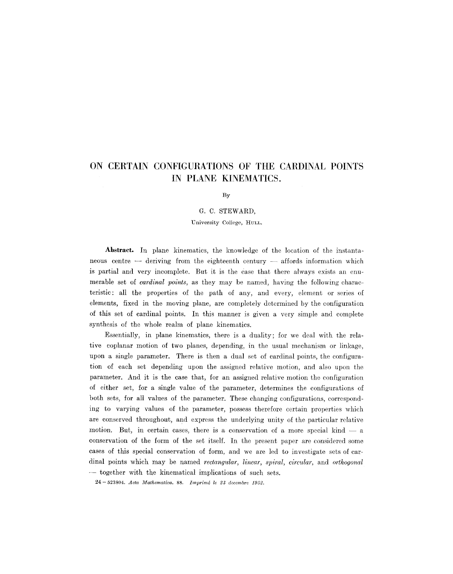## **ON CERTAIN CONFIGURATIONS OF THE CARDINAl, POINTS IN PLANE KINEMATICS.**

By

G. C. STEWARD,

University College, HULL.

Abstract. In plane kinematics, the knowledge of the location of the instantaneous centre  $-$  deriving from the eighteenth century  $-$  affords information which is partial and very incomplete. But it is the ease that there always exists an enumerable set of *cardinal points,* as they may be named, having the following characteristic: all the properties of the path of any, and every, element or series of elements, fixed in the moving plane, are completely determined by the configuration of this set of cardinal points. In this manner is given a very simple and complete synthesis of the whole realm of plane kinematics.

Essentially, in plane kinematics, there is a duality; for we deal with the relative eoplanar motion of two planes, depending, in the usual mechanism or linkage, upon a single parameter. There is then a dual set of cardinal points, the configuration of each set depending upon the assigned relative motion, and also upon the parameter. And it is the case that, for an assigned relative motion the configuration of either set, for a single value of the parameter, determines the configurations of both sets, for all values of the parameter. These changing configurations, corresponding to varying values of the parameter, possess therefore certain properties which are conserved throughout, and express the underlying unity of the particular relative motion. But, in certain cases, there is a conservation of a more special kind  $-$  a conservation of the form of the set itself. In the present paper are considered some eases of this special conservation of form, and we are led to investigate sets of cardinal points which may be named *rectangular, linear, spiral, circular,* and *orthogonal*  **--** together with the kinematical implications of such sets.

24-523804. *Acta Mathematica*. 88. *Imprimé le 23 decembre 1952*.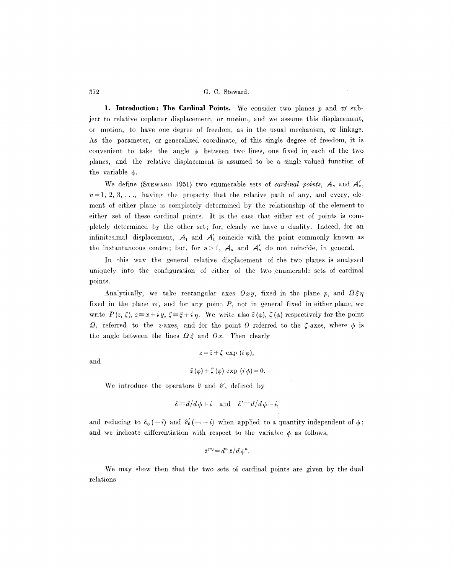**1. Introduction: The Cardinal Points.** We consider two planes  $p$  and  $\varpi$  sub**ject** to relative eoplanar displacement, or motion, and we assume this displacement, or motion, to have one degree of freedom, as in the usual mechanism, or linkage. As the parameter, or generalized coordinate, of this single degree of freedom, it is convenient to take the angle  $\phi$  between two lines, one fixed in each of the two planes, and the relative displacement is assumed to be a single-valued function of the variable  $\phi$ .

We define (STEWARD 1951) two enumerable sets of *cardinal points*,  $A_n$  and  $A'_n$ ,  $n=1, 2, 3, \ldots$ , having the property that the relative path of any, and every, element of either plane is completely determined by the relationship of the element to either set of these cardinal points. It is the case that either set of points is completely determined by the other set; for, clearly we have a duality. Indeed, for an infinitesimal displacement,  $A_1$  and  $A'_1$  coincide with the point commonly known as the instantaneous centre; but, for  $n>1$ ,  $A_n$  and  $A'_n$  do not coincide, in general.

In this way the general relative displacement of the two planes is analysed uniquely into the configuration of either of the two enumerable sets of cardinal points.

Analytically, we take rectangular axes  $Oxy$ , fixed in the plane p, and  $\Omega\xi\eta$ fixed in the plane  $\varpi$ , and for any point P, not in general fixed in either plane, we write  $P(z, \zeta)$ ,  $z=x+iy$ ,  $\zeta = \zeta + i \eta$ . We write also  $\bar{z}(\phi)$ ,  $\bar{\zeta}(\phi)$  respectively for the point  $\Omega$ , referred to the z-axes, and for the point O referred to the  $\zeta$ -axes, where  $\phi$  is the angle between the lines  $\Omega \xi$  and  $\partial x$ . Then clearly

$$
\quad\text{and}\quad
$$

 $z=\bar{z}+\zeta \exp(i\phi),$  $\bar{z}(\phi) + \bar{\zeta}(\phi) \exp(i \phi) = 0.$ 

We introduce the operators  $\partial$  and  $\partial'$ , defined by

$$
\partial \equiv d/d\phi + i
$$
 and  $\partial' \equiv d/d\phi - i$ ,

and reducing to  $\partial_0 (\equiv i)$  and  $\partial'_0 (\equiv -i)$  when applied to a quantity independent of  $\phi$ ; and we indicate differentiation with respect to the variable  $\phi$  as follows,

$$
\bar{z}^{(n)} = d^n \bar{z} / d \phi^n.
$$

We may show then that the two sets of cardinal points are given by the dual relations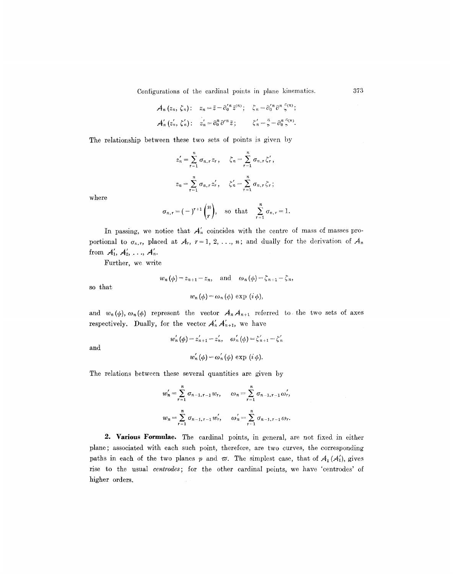Configurations of the cardinal points in plane kinematics.

$$
\mathcal{A}_n(z_n, \zeta_n): z_n = \bar{z} - \partial_0'^n \bar{z}^{(n)}; \quad \zeta_n = \partial_0'^n \partial^n \bar{z}^{(n)};
$$
  

$$
\mathcal{A}_n'(z_n', \zeta_n'): z_n' = \partial_0^n \partial'^n \bar{z}; \qquad \zeta_n' = \bar{z} - \partial_0^n \bar{z}^{(n)}.
$$

The relationship between these two sets of points is given by

$$
z'_{n} = \sum_{r=1}^{n} \sigma_{n,r} z_{r}, \quad \zeta_{n} = \sum_{r=1}^{n} \sigma_{n,r} \zeta'_{r},
$$

$$
z_{n} = \sum_{r=1}^{n} \sigma_{n,r} z'_{r}, \quad \zeta'_{n} = \sum_{r=1}^{n} \sigma_{n,r} \zeta_{r};
$$

where

$$
\sigma_{n,r}=(-)^{r+1}\binom{n}{r},\quad\text{so that}\quad\sum_{r=1}^n\sigma_{n,r}=1.
$$

In passing, we notice that  $A'_n$  coincides with the centre of mass of masses proportional to  $\sigma_{n,r}$ , placed at  $\mathcal{A}_r$ ,  $r=1, 2, \ldots, n$ ; and dually for the derivation of  $\mathcal{A}_n$ from  $A'_1, A'_2, \ldots, A'_n$ .

Further, we write

$$
w_n(\phi) = z_{n+1} - z_n
$$
, and  $\omega_n(\phi) = \zeta_{n+1} - \zeta_n$ ,

$$
w_n(\phi) = \omega_n(\phi) \exp(i \phi),
$$

and  $w_n(\phi)$ ,  $\omega_n(\phi)$  represent the vector  $\mathcal{A}_n \mathcal{A}_{n+1}$  referred to the two sets of axes respectively. Dually, for the vector  $A'_n A'_{n+1}$ , we have

and

so that

$$
w'_{n}(\phi) = z'_{n+1} - z'_{n}, \quad \omega'_{n}(\phi) = \zeta'_{n+1} - \zeta'_{n}
$$

$$
w'_{n}(\phi) = \omega'_{n}(\phi) \exp(i \phi).
$$

The relations between these several quantities are given by

$$
w'_{n} = \sum_{r=1}^{n} \sigma_{n-1,r-1} w_{r}, \qquad \omega_{n} = \sum_{r=1}^{n} \sigma_{n-1,r-1} \omega'_{r},
$$
  

$$
w_{n} = \sum_{r=1}^{n} \sigma_{n-1,r-1} w'_{r}, \qquad \omega'_{n} = \sum_{r=1}^{n} \sigma_{n-1,r-1} \omega_{r}.
$$

2. **Various Formulae.** The cardinal points, in general, are not fixed in either plane; associated with each such point, therefore, are two curves, the corresponding paths in each of the two planes p and  $\varpi$ . The simplest case, that of  $A_1(A'_1)$ , gives rise to the usual *centrodes;* for the other cardinal points, we have 'centrodes' of higher orders.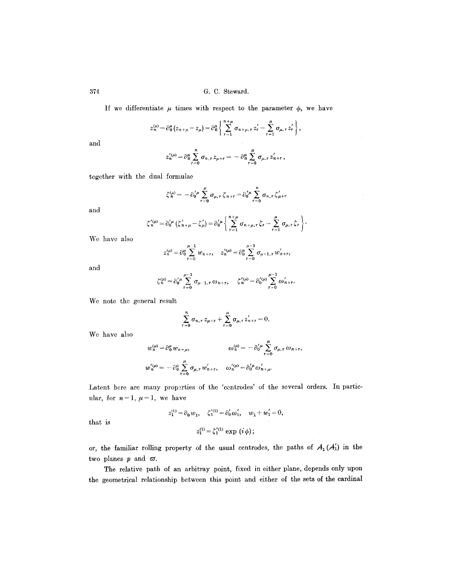If we differentiate  $\mu$  times with respect to the parameter  $\phi$ , we have

$$
z_n^{\mu\nu} = \partial_0^{\mu} (z_{n+\mu} - z_{\mu}) = \partial_0^{\mu} \left\{ \sum_{r=1}^{n+\mu} \sigma_{n+\mu, r} z_r^{\prime} - \sum_{r=1}^{\mu} \sigma_{\mu, r} z_r^{\prime} \right\},
$$

 $\mathcal{A}$ 

**and** 

$$
z_n^{'(\mu)} = \partial_{0}^{\mu} \sum_{r=0}^{n} \sigma_{n,r} z_{\mu+r} = - \partial_{0}^{\mu} \sum_{r=0}^{\mu} \sigma_{\mu,r} z_{n+r}',
$$

**together with the dual formulae** 

$$
\zeta_n^{(\mu)} = -\partial_0^{'\mu} \sum_{r=0}^{\mu} \sigma_{\mu,r} \zeta_{n+r} = \partial_0^{'\mu} \sum_{r=0}^n \sigma_{n,r} \zeta_{\mu+r}'
$$

**and** 

$$
\zeta_n^{\prime(\mu)} = \partial_0^{\prime\mu} (\zeta_{n+\mu}^{\prime} - \zeta_{\mu}^{\prime}) = \partial_0^{\prime\mu} \left\{ \sum_{r=1}^{n+\mu} \sigma_{n+\mu,r} \zeta_r - \sum_{r=1}^{\mu} \sigma_{\mu,r} \zeta_r \right\}.
$$

**We have also** 

$$
z_n^{(\mu)} = \partial_0^{\mu} \sum_{r=0}^{\mu-1} w_{n+r}, \quad z_n'^{(\mu)} = \partial_0^{\mu} \sum_{r=0}^{\mu-1} \sigma_{\mu-1,r} w'_{n+r},
$$

**and** 

$$
\zeta_n^{(\mu)} = \partial_0'^{\mu} \sum_{\tau=0}^{\mu-1} \sigma_{\mu-1,\tau} \omega_{n+\tau}, \quad \zeta_n'^{(\mu)} = \partial_0'^{(\mu)} \sum_{\tau=0}^{\mu-1} \omega'_{n+\tau}.
$$

**We note the general result** 

$$
\sum_{r=0}^n \sigma_{n,r} z_{\mu+r} + \sum_{r=0}^{\mu} \sigma_{\mu,r} z'_{n+r} = 0.
$$

**We have also** 

$$
w_n^{(\mu)} = \partial_0^{\mu} w_{n+\mu}, \qquad \qquad \omega_n^{(\mu)} = -\partial_0^{\prime \mu} \sum_{r=0}^{\mu} \sigma_{\mu,r} \omega_{n+r},
$$
  

$$
w_n^{\prime(\mu)} = -\partial_0^{\mu} \sum_{r=0}^{\mu} \sigma_{\mu,r} w_{n+r}^{\prime}, \qquad \omega_n^{\prime(\mu)} = \partial_0^{\prime \mu} \omega_{n+\mu}^{\prime}.
$$

Latent bere are many properties of the 'centrodes' of the several orders. In particular, for  $n=1$ ,  $\mu=1$ , we have

$$
z_1^{(1)}=\partial_0\,w_1,\quad \zeta_1^{'(1)}=\partial_0^{'}\omega_1',\quad w_1+w_1'=0,
$$

**that is** 

$$
z_1^{(1)} = \zeta_1^{'(1)} \exp (i \phi);
$$

or, the familiar rolling property of the usual centrodes, the paths of  $A_1(A'_1)$  in the two planes  $p$  and  $\varpi$ .

**The relative path of an arbitray point, fixed in either plane, depends only upon the geometrical relationship between this point and either of the sets of the cardinal**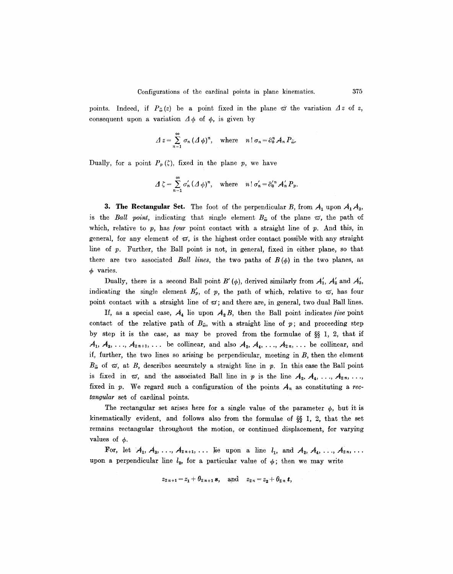points. Indeed, if  $P_{\tilde{\omega}}(z)$  be a point fixed in the plane  $\tilde{\omega}$  the variation  $\Delta z$  of z, consequent upon a variation  $\Delta \phi$  of  $\phi$ , is given by

$$
\Delta z = \sum_{n=1}^{\infty} \sigma_n (\Delta \phi)^n, \quad \text{where} \quad n! \sigma_n = \partial_0^n \mathcal{A}_n P_{\tilde{\omega}}.
$$

Dually, for a point  $P_p(\zeta)$ , fixed in the plane p, we have

$$
\Delta \zeta = \sum_{n=1}^{\infty} \sigma'_n (\Delta \phi)^n, \quad \text{where} \quad n! \sigma'_n = \partial'^n_0 A'_n P_p.
$$

**3. The Rectangular Set.** The foot of the perpendicular B, from  $A_1$  upon  $A_1A_3$ , is the *Ball point*, indicating that single element  $B_{\tilde{\omega}}$  of the plane  $\tilde{\omega}$ , the path of which, relative to  $p$ , has *four* point contact with a straight line of  $p$ . And this, in general, for any element of  $\varpi$ , is the highest order contact possible with any straight line of p. Further, the Ball point is not, in general, fixed in either plane, so that there are two associated *Ball lines*, the two paths of  $B(\phi)$  in the two planes, as  $\phi$  varies.

Dually, there is a second Ball point B' ( $\phi$ ), derived similarly from  $A'_{1}$ ,  $A'_{2}$  and  $A'_{3}$ , indicating the single element  $B'_{p}$ , of p, the path of which, relative to  $\varpi$ , has four point contact with a straight line of  $\varpi$ ; and there are, in general, two dual Ball lines.

If, as a special case,  $A_4$  lie upon  $A_2 B$ , then the Ball point indicates *five* point contact of the relative path of  $B_{\tilde{\omega}}$ , with a straight line of p; and proceeding step by step it is the case, as may be proved from the formulae of  $\S$  1, 2, that if  $A_1, A_3, \ldots, A_{2n+1}, \ldots$  be collinear, and also  $A_2, A_4, \ldots, A_{2n}, \ldots$  be collinear, and if, further, the two lines so arising be perpendicular, meeting in B, then the element  $B_{\tilde{\omega}}$  of  $\tilde{\omega}$ , at B, describes accurately a straight line in p. In this case the Ball point is fixed in  $\sigma$ , and the associated Ball line in p is the line  $A_2, A_4, \ldots, A_{2n}, \ldots$ fixed in  $p$ . We regard such a configuration of the points  $A_n$  as constituting a *rectangular* set of cardinal points.

The rectangular set arises here for a single value of the parameter  $\phi$ , but it is kinematically evident, and follows also from the formulae of  $\S$  1, 2, that the set remains rectangular throughout the motion, or continued displacement, for varying values of  $\phi$ .

For, let  $A_1, A_3, \ldots, A_{2n+1}, \ldots$  lie upon a line  $l_1$ , and  $A_2, A_4, \ldots, A_{2n}, \ldots$ upon a perpendicular line  $l_2$ , for a particular value of  $\phi$ ; then we may write

$$
z_{2n+1} = z_1 + \theta_{2n+1} s
$$
, and  $z_{2n} = z_2 + \theta_{2n} t$ ,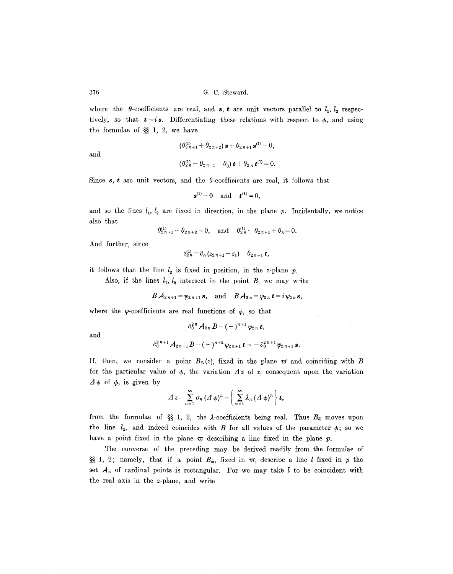where the  $\theta$ -coefficients are real, and **s**, **t** are unit vectors parallel to  $l_1$ ,  $l_2$  respectively, so that  $t = i s$ . Differentiating these relations with respect to  $\phi$ , and using the formulae of  $\S$  1, 2, we have

$$
\quad\text{and}\quad
$$

$$
(\theta_{2n+1}^{(1)} + \theta_{2n+2}) \mathbf{s} + \theta_{2n+1} \mathbf{s}^{(1)} = 0,
$$
  

$$
(\theta_{2n}^{(1)} - \theta_{2n+1} + \theta_3) \mathbf{t} + \theta_{2n} \mathbf{t}^{(1)} = 0.
$$

Since  $s, t$  are unit vectors, and the  $\theta$ -coefficients are real, it follows that

$$
\mathbf{s}^{(1)} = 0 \quad \text{and} \quad \mathbf{t}^{(1)} = 0,
$$

and so the lines  $l_1, l_2$  are fixed in direction, in the plane p. Incidentally, we notice also that

$$
\theta_{2n+1}^{(1)} + \theta_{2n+2} = 0
$$
, and  $\theta_{2n}^{(1)} - \theta_{2n+1} + \theta_3 = 0$ .

And further, since

 $z_{2n}^{(1)} = \partial_0 (z_{2n+1} - z_1) = \theta_{2n+1} t,$ 

it follows that the line  $l_2$  is fixed in position, in the z-plane p.

Also, if the lines  $l_1$ ,  $l_2$  intersect in the point  $B$ , we may write

$$
B\mathcal{A}_{2n+1} = \psi_{2n+1} \mathbf{s}, \quad \text{and} \quad B\mathcal{A}_{2n} = \psi_{2n} \mathbf{t} = i \psi_{2n} \mathbf{s},
$$

where the y-coefficients are real functions of  $\phi$ , so that

$$
\partial_0^{2\,n} A_{2\,n} B = (-)^{n+1} \psi_{2\,n} \, t,
$$

and

$$
\partial_0^2^{n+1}A_{2n+1}B = (-)^{n+2}\psi_{2n+1}t = -\partial_0^{2n+1}\psi_{2n+1} s.
$$

If, then, we consider a point  $B_{\tilde{\omega}}(z)$ , fixed in the plane  $\omega$  and coinciding with B for the particular value of  $\phi$ , the variation  $\Delta z$  of z, consequent upon the variation  $\Delta \phi$  of  $\phi$ , is given by

$$
\varDelta z = \sum_{n=1}^{\infty} \sigma_n \left( \varDelta \phi \right)^n = \left( \sum_{n=1}^{\infty} \lambda_n \left( \varDelta \phi \right)^n \right) \boldsymbol{t},
$$

from the formulae of §§ 1, 2, the  $\lambda$ -coefficients being real. Thus  $B_{\tilde{\omega}}$  moves upon the line  $l_2$ , and indeed coincides with B for all values of the parameter  $\phi$ ; so we have a point fixed in the plane  $\varpi$  describing a line fixed in the plane  $p$ .

The converse of the preceding may be derived readily from the formulae of §§ 1, 2; namely, that if a point  $B_{\tilde{\omega}}$ , fixed in  $\pi$ , describe a line *l* fixed in *p* the set  $A_n$  of cardinal points is rectangular. For we may take l to be coincident with the real axis in the z-plane, and write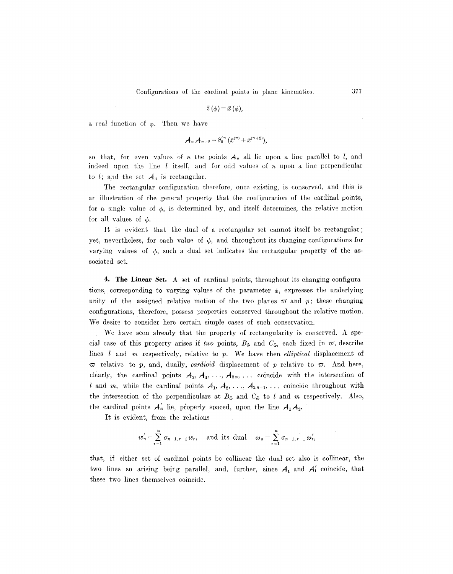$$
\bar{z}(\phi) = \bar{x}(\phi),
$$

a real function of  $\phi$ . Then we have

$$
A_n A_{n+2} = \partial_0^{\prime n} (\bar{x}^{(n)} + \bar{x}^{(n+2)}),
$$

so that, for even values of n the points  $A_n$  all lie upon a line parallel to I, and indeed upon the line  $l$  itself, and for odd values of  $n$  upon a line perpendicular to  $l$ ; and the set  $A_n$  is rectangular.

The rectangular configuration therefore, once existing, is conserved, and this is an illustration of the general property that the configuration of the cardinal points, for a single value of  $\phi$ , is determined by, and itself determines, the relative motion for all values of  $\phi$ .

It is evident that the dual of a rectangular set cannot itself be rectangular; yet, nevertheless, for each value of  $\phi$ , and throughout its changing configurations for varying values of  $\phi$ , such a dual set indicates the rectangular property of the associated set.

4. The Linear Set. A set of cardinal points, throughout its changing configurations, corresponding to varying values of the parameter  $\phi$ , expresses the underlying unity of the assigned relative motion of the two planes  $\varpi$  and  $p$ ; these changing configurations, therefore, possess properties conserved throughout the relative motion. We desire to consider here certain simple cases of such conservation.

We have seen already that the property of rectangularity is conserved. A special case of this property arises if *two* points,  $B_{\tilde{\omega}}$  and  $C_{\tilde{\omega}}$ , each fixed in  $\varpi$ , describe lines l and m respectively, relative to p. We have then *elliptical* displacement of  $\sigma$  relative to p, and, dually, *cardioid* displacement of p relative to  $\sigma$ . And here, clearly, the cardinal points  $A_2, A_4, \ldots, A_{2n}, \ldots$  coincide with the intersection of l and m, while the cardinal points  $A_1, A_2, \ldots, A_{2n+1}, \ldots$  coincide throughout with the intersection of the perpendiculars at  $B_{\tilde{\omega}}$  and  $C_{\tilde{\omega}}$  to l and m respectively. Also, the cardinal points  $A'_n$  lie, properly spaced, upon the line  $A_1A_2$ .

It is evident, from the relations

$$
w'_n = \sum_{r=1}^n \sigma_{n-1,r-1} w_r
$$
, and its dual  $\omega_n = \sum_{r=1}^n \sigma_{n-1,r-1} \omega'_r$ ,

that, if either set of cardinal points be eollinear the dual set also is collinear, the two lines so arising being parallel, and, further, since  $A_1$  and  $A'_1$  coincide, that these two lines themselves coincide.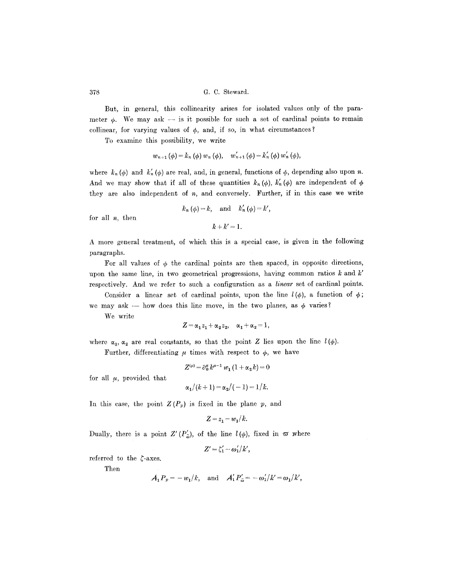But, in general, this collinearity arises for isolated values only of the parameter  $\phi$ . We may ask -- is it possible for such a set of cardinal points to remain collinear, for varying values of  $\phi$ , and, if so, in what circumstances?

To examine this possibility, we write

$$
w_{n+1}(\phi) = k_n(\phi) w_n(\phi), \quad w'_{n+1}(\phi) = k'_n(\phi) w'_n(\phi),
$$

where  $k_n(\phi)$  and  $k'_n(\phi)$  are real, and, in general, functions of  $\phi$ , depending also upon n. And we may show that if all of these quantities  $k_n(\phi)$ ,  $k'_n(\phi)$  are independent of  $\phi$ they are also independent of  $n$ , and conversely. Further, if in this case we write

$$
k_n(\phi) = k
$$
, and  $k'_n(\phi) = k'$ ,

for all n, then

$$
k+k'=1.
$$

A more general treatment, of which this is a special case, is given in the following paragraphs.

For all values of  $\phi$  the cardinal points are then spaced, in opposite directions, upon the same line, in two geometrical progressions, having common ratios k and *k'*  respectively. And we refer to such a configuration as a *linear* set of cardinal points.

Consider a linear set of cardinal points, upon the line  $l(\phi)$ , a function of  $\phi$ ; we may ask -- how does this line move, in the two planes, as  $\phi$  varies?

We write

$$
Z = \alpha_1 z_1 + \alpha_2 z_2, \quad \alpha_1 + \alpha_2 = 1,
$$

where  $\alpha_1, \alpha_2$  are real constants, so that the point Z lies upon the line  $l(\phi)$ .

Further, differentiating  $\mu$  times with respect to  $\phi$ , we have

$$
Z^{(\mu)} = \partial_0^{\mu} k^{\mu - 1} w_1 (1 + \alpha_2 k) = 0
$$

for all  $\mu$ , provided that

$$
\alpha_1/(k+1)=\alpha_2/(-1)=1/k.
$$

In this case, the point  $Z(P_p)$  is fixed in the plane p, and

$$
Z = z_1 - w_1/k.
$$

Dually, there is a point  $Z'(P'_\n\tilde{\omega})$ , of the line  $l(\phi)$ , fixed in  $\tilde{\omega}$  where

 $Z' = \zeta_1' - \omega_1'/k'$ ,

referred to the  $\zeta$ -axes.

Then

$$
A_1 P_p = -w_1/k, \text{ and } A'_1 P'_{\tilde{\omega}} = -\omega'_1/k' = \omega_1/k',
$$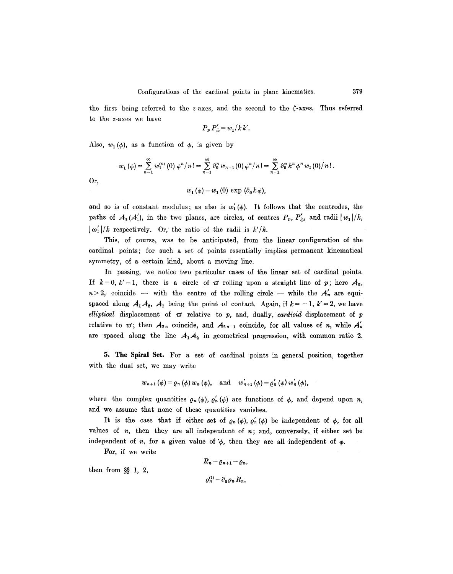the first being referred to the z-axes, and the second to the  $\zeta$ -axes. Thus referred to the z-axes we have

$$
P_p P_{\tilde{\omega}}' = w_1 / k k'.
$$

Also,  $w_1(\phi)$ , as a function of  $\phi$ , is given by

$$
w_1(\phi) = \sum_{n=1}^{\infty} w_1^{(n)}(0) \phi^n/n! = \sum_{n=1}^{\infty} \partial_0^n w_{n+1}(0) \phi^n/n! = \sum_{n=1}^{\infty} \partial_0^n k^n \phi^n w_1(0)/n!.
$$
  

$$
w_1(\phi) = w_1(0) \exp(\partial_0 k \phi),
$$

Or,

and so is of constant modulus; as also is  $w'_1(\phi)$ . It follows that the centrodes, the paths of  $A_1(A'_1)$ , in the two planes, are circles, of centres  $P_p$ ,  $P'_{\tilde{\omega}}$ , and radii  $|w_1|/k$ ,  $\lfloor \omega'_1 \rfloor / k$  respectively. Or, the ratio of the radii is  $k'/k$ .

This, of course, was to be anticipated, from the linear configuration of the cardinal points; for such a set of points essentially implies permanent kinematical symmetry, of a certain kind, about a moving line.

In passing, we notice two particular cases of the linear set of cardinal points. If  $k=0$ ,  $k'=1$ , there is a circle of  $\sigma$  rolling upon a straight line of p; here  $A_n$ ,  $n>2$ , coincide -- with the centre of the rolling circle -- while the  $A'_n$  are equispaced along  $A_1A_2$ ,  $A_1$  being the point of contact. Again, if  $k = -1$ ,  $k' = 2$ , we have  $elliptical$  displacement of  $\varpi$  relative to  $p$ , and, dually, *cardioid* displacement of  $p$ relative to  $\varpi$ ; then  $A_{2n}$  coincide, and  $A_{2n-1}$  coincide, for all values of n, while  $A'_n$ are spaced along the line  $A_1A_2$  in geometrical progression, with common ratio 2.

5. The Spiral Set. For a set of cardinal points in general position, together with the dual set, we may write

$$
w_{n+1}(\phi) = \varrho_n(\phi) w_n(\phi)
$$
, and  $w'_{n+1}(\phi) = \varrho'_n(\phi) w'_n(\phi)$ ,

where the complex quantities  $\rho_n (\phi)$ ,  $\rho'_n (\phi)$  are functions of  $\phi$ , and depend upon *n*, and we assume that none of these quantities vanishes.

It is the case that if either set of  $\rho_n(\phi)$ ,  $\rho'_n(\phi)$  be independent of  $\phi$ , for all values of  $n$ , then they are all independent of  $n$ ; and, conversely, if either set be independent of n, for a given value of  $\phi$ , then they are all independent of  $\phi$ .

For, if we write

then from 
$$
\S\S
$$
 1, 2,  

$$
R_n = \varrho_{n+1} - \varrho_n,
$$

$$
\varrho_n^{(1)} = \partial_0 \varrho_n R_n,
$$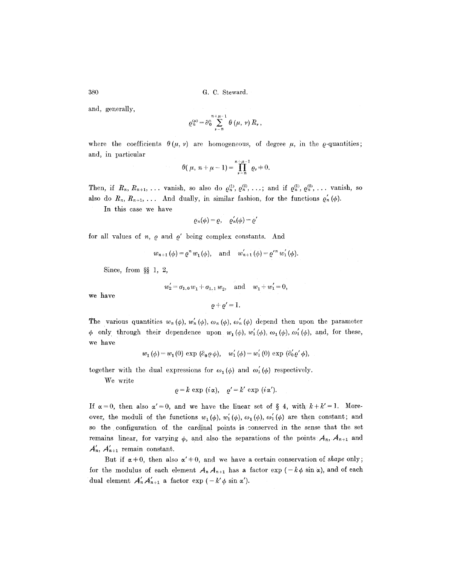and, generally,

$$
\varrho_n^{\langle\mu\rangle} = \partial_0^{\mu} \sum_{\nu=n}^{n+\mu-1} \theta\left(\mu,\nu\right) R_{\nu},
$$

where the coefficients  $\theta(\mu, \nu)$  are homogeneous, of degree  $\mu$ , in the  $\varrho$ -quantities; and, in particular

$$
\theta(\mu, n + \mu - 1) = \prod_{\nu=n}^{n + \mu - 1} \varrho_{\nu} + 0.
$$

Then, if  $R_n, R_{n+1}, \ldots$  vanish, so also do  $\varrho_n^{(1)}, \varrho_n^{(2)}, \ldots$ ; and if  $\varrho_n^{(1)}, \varrho_n^{(2)}, \ldots$  vanish, so also do  $R_n, R_{n+1}, \ldots$  And dually, in similar fashion, for the functions  $\varrho'_n(\phi)$ .

In this case we have

$$
\varrho_n(\phi)=\varrho,\quad \varrho_n'(\phi)=\varrho'
$$

for all values of  $n, \varrho$  and  $\varrho'$  being complex constants. And

$$
w_{n+1}(\phi) = \varrho^n w_1(\phi)
$$
, and  $w'_{n+1}(\phi) = \varrho'^n w'_1(\phi)$ .

Since, from  $\S$  1, 2,

$$
w'_2 = \sigma_{1,0} w_1 + \sigma_{1,1} w_2
$$
, and  $w_1 + w'_1 = 0$ ,

we have

$$
\varrho + \varrho' = 1
$$

The various quantities  $w_n(\phi)$ ,  $w'_n(\phi)$ ,  $\omega_n(\phi)$ ,  $\omega'_n(\phi)$  depend then upon the parameter  $\phi$  only through their dependence upon  $w_1(\phi)$ ,  $w'_1(\phi)$ ,  $\omega_1(\phi)$ ,  $\omega'_1(\phi)$ , and, for these, we have

$$
w_1(\phi) = w_1(0) \exp(\partial_0 \phi_0), \quad w'_1(\phi) = w'_1(0) \exp(\partial_0' \phi_0),
$$

together with the dual expressions for  $\omega_1(\phi)$  and  $\omega'_1(\phi)$  respectively.

We write

$$
\varrho = k \exp(i\alpha), \quad \varrho' = k' \exp(i\alpha').
$$

If  $\alpha=0$ , then also  $\alpha'=0$ , and we have the linear set of § 4, with  $k+k'=1$ . Moreover, the moduli of the functions  $w_1(\phi)$ ,  $w'_1(\phi)$ ,  $\omega_1(\phi)$ ,  $\omega'_1(\phi)$  are then constant; and so the configuration of the cardinal points is conserved in the sense that the set remains linear, for varying  $\phi$ , and also the separations of the points  $A_n$ ,  $A_{n+1}$  and  $A'_n$ ,  $A'_{n+1}$  remain constant.

But if  $\alpha+0$ , then also  $\alpha'+0$ , and we have a certain conservation of *shape* only; for the modulus of each element  $A_n A_{n+1}$  has a factor  $\exp(-k\phi \sin \alpha)$ , and of each dual element  $A'_n A'_{n+1}$  a factor  $\exp(-k' \phi \sin \alpha')$ .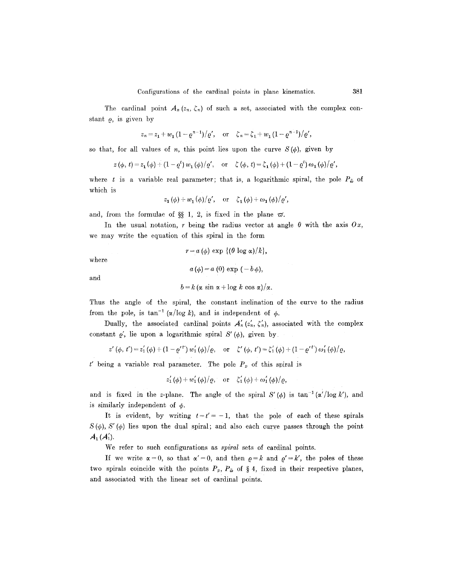The cardinal point  $A_n(z_n, \zeta_n)$  of such a set, associated with the complex constant  $\rho$ , is given by

$$
z_n = z_1 + w_1 (1 - \varrho^{n-1})/\varrho', \text{ or } \zeta_n = \zeta_1 + w_1 (1 - \varrho^{n-1})/\varrho',
$$

so that, for all values of n, this point lies upon the curve  $S(\phi)$ , given by

$$
z(\phi, t) = z_1(\phi) + (1 - \varrho^t) w_1(\phi) / \varrho', \text{ or } \zeta(\phi, t) = \zeta_1(\phi) + (1 - \varrho^t) \omega_1(\phi) / \varrho',
$$

where t is a variable real parameter; that is, a logarithmic spiral, the pole  $P_{\tilde{\omega}}$  of which is

$$
z_1(\phi) + w_1(\phi)/\varrho', \text{ or } \zeta_1(\phi) + \omega_1(\phi)/\varrho',
$$

and, from the formulae of §§ 1, 2, is fixed in the plane  $\varpi$ .

In the usual notation, r being the radius vector at angle  $\theta$  with the axis  $Ox$ , we may write the equation of this spiral in the form

 $r = a(\phi) \exp \{(\theta \log \alpha)/k\},\$ where  $a(\phi) = a(0) \exp(-b \phi),$ and

$$
b = k (\alpha \sin \alpha + \log k \cos \alpha)/\alpha.
$$

Thus the angle of the spiral, the constant inclination of the curve to the radius from the pole, is  $\tan^{-1} (\alpha/\log k)$ , and is independent of  $\phi$ .

Dually, the associated cardinal points  $A'_n(z'_n, \zeta'_n)$ , associated with the complex constant  $\varrho'$ , lie upon a logarithmic spiral  $S'(\varphi)$ , given by

$$
z'(\phi, t') = z'_1(\phi) + (1 - {\varrho'}^{t'}) w'_1(\phi)/\varrho, \quad \text{or} \quad \zeta'(\phi, t') = \zeta'_1(\phi) + (1 - {\varrho'}^{t'}) \omega'_1(\phi)/\varrho,
$$

t' being a variable real parameter. The pole  $P_p$  of this spiral is

$$
z'_1(\phi) + w'_1(\phi)/\rho
$$
, or  $\zeta'_1(\phi) + \omega'_1(\phi)/\rho$ ,

and is fixed in the z-plane. The angle of the spiral  $S'(\phi)$  is  $\tan^{-1}(\alpha'/\log k')$ , and is similarly independent of  $\phi$ .

It is evident, by writing  $t=t'=-1$ , that the pole of each of these spirals  $S(\phi)$ ,  $S'(\phi)$  lies upon the dual spiral; and also each curve passes through the point  $A_1(A_1').$ 

We refer to such configurations as *spiral* sets of cardinal points.

If we write  $\alpha=0$ , so that  $\alpha'=0$ , and then  $\rho=k$  and  $\rho'=k'$ , the poles of these two spirals coincide with the points  $P_p$ ,  $P_{\tilde{\omega}}$  of § 4, fixed in their respective planes, and associated with the linear set of cardinal points.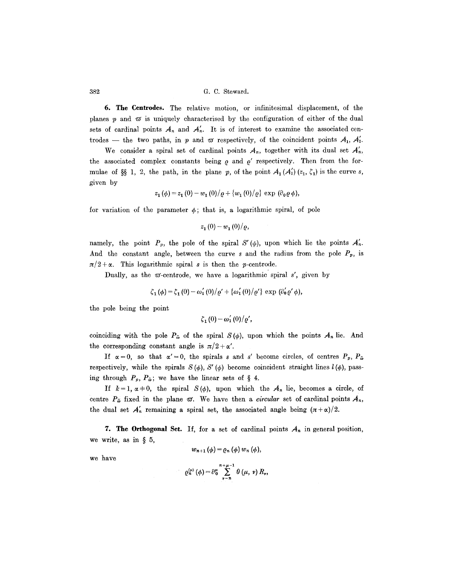6. The Centrodes. The relative motion, or infinitesimal displacement, of the planes  $p$  and  $\varpi$  is uniquely characterised by the configuration of either of the dual sets of cardinal points  $A_n$  and  $A'_n$ . It is of interest to examine the associated centrodes -- the two paths, in p and  $\varpi$  respectively, of the coincident points  $A_1$ ,  $A'_1$ .

We consider a spiral set of cardinal points  $A_n$ , together with its dual set  $A'_n$ , the associated complex constants being  $\rho$  and  $\rho'$  respectively. Then from the formulae of §§ 1, 2, the path, in the plane p, of the point  $A_1 (A'_1) (z_1, \zeta_1)$  is the curve s, given by

$$
z_1(\phi) = z_1(0) - w_1(0)/\varrho + \{w_1(0)/\varrho\} \exp(\partial_0 \varrho \phi),
$$

for variation of the parameter  $\phi$ ; that is, a logarithmic spiral, of pole

$$
z_1(0)-w_1(0)/\varrho
$$
,

namely, the point  $P_p$ , the pole of the spiral S' ( $\phi$ ), upon which lie the points  $A'_n$ . And the constant angle, between the curve s and the radius from the pole  $P_p$ , is  $\pi/2 + \alpha$ . This logarithmic spiral s is then the p-centrode.

Dually, as the  $\omega$ -centrode, we have a logarithmic spiral s', given by

$$
\zeta_1(\phi) = \zeta_1(0) - \omega_1'(0)/\varrho' + {\omega_1'(0)}/{\varrho'} \exp(\partial_0' \varrho', \phi),
$$

the pole being the point

$$
\zeta_1(0)-\omega_1'(0)/\varrho',
$$

coinciding with the pole  $P_{\tilde{\omega}}$  of the spiral  $S(\phi)$ , upon which the points  $A_n$  lie. And the corresponding constant angle is  $\pi/2 + \alpha'$ .

If  $\alpha = 0$ , so that  $\alpha' = 0$ , the spirals s and s' become circles, of centres  $P_p$ ,  $P_{\tilde{\omega}}$ respectively, while the spirals  $S(\phi)$ ,  $S'(\phi)$  become coincident straight lines  $l(\phi)$ , passing through  $P_p$ ,  $P_{\tilde{\omega}}$ ; we have the linear sets of § 4.

If  $k=1$ ,  $\alpha+0$ , the spiral  $S(\phi)$ , upon which the  $A_n$  lie, becomes a circle, of centre  $P_{\tilde{\omega}}$  fixed in the plane  $\varpi$ . We have then a *circular* set of cardinal points  $A_n$ , the dual set  $A'_n$  remaining a spiral set, the associated angle being  $(\pi+\alpha)/2$ .

7. The Orthogonal Set. If, for a set of cardinal points  $A_n$  in general position, we write, as in  $\S$  5,

$$
w_{n+1}(\phi) = \varrho_n(\phi) w_n(\phi),
$$

we have

$$
\varrho_n^{(\mu)}(\phi) = \partial_0^{\mu} \sum_{\nu=n}^{n+\mu-1} \theta(\mu, \nu) R_{\nu},
$$